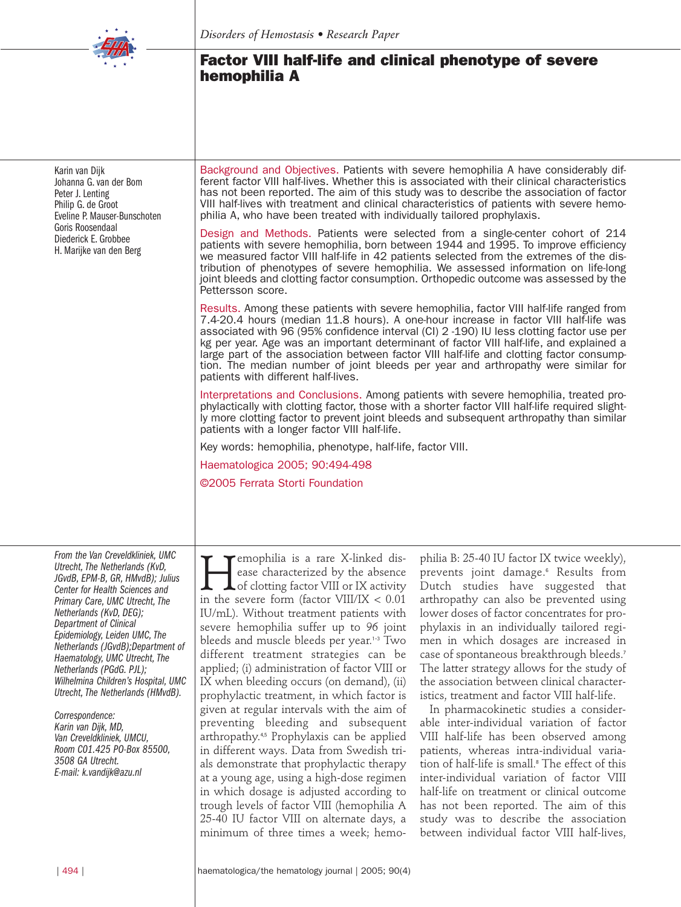

Karin van Dijk Johanna G. van der Bom Peter J. Lenting Philip G. de Groot Eveline P. Mauser-Bunschoten Goris Roosendaal Diederick E. Grobbee H. Marijke van den Berg

# **Factor VIII half-life and clinical phenotype of severe hemophilia A**

Background and Objectives. Patients with severe hemophilia A have considerably different factor VIII half-lives. Whether this is associated with their clinical characteristics has not been reported. The aim of this study was to describe the association of factor VIII half-lives with treatment and clinical characteristics of patients with severe hemophilia A, who have been treated with individually tailored prophylaxis.

Design and Methods. Patients were selected from a single-center cohort of 214 patients with severe hemophilia, born between 1944 and 1995. To improve efficiency we measured factor VIII half-life in 42 patients selected from the extremes of the distribution of phenotypes of severe hemophilia. We assessed information on life-long joint bleeds and clotting factor consumption. Orthopedic outcome was assessed by the Pettersson score.

Results. Among these patients with severe hemophilia, factor VIII half-life ranged from 7.4-20.4 hours (median 11.8 hours). A one-hour increase in factor VIII half-life was associated with 96 (95% confidence interval (CI) 2 -190) IU less clotting factor use per kg per year. Age was an important determinant of factor VIII half-life, and explained a large part of the association between factor VIII half-life and clotting factor consumption. The median number of joint bleeds per year and arthropathy were similar for patients with different half-lives.

Interpretations and Conclusions. Among patients with severe hemophilia, treated prophylactically with clotting factor, those with a shorter factor VIII half-life required slightly more clotting factor to prevent joint bleeds and subsequent arthropathy than similar patients with a longer factor VIII half-life.

Key words: hemophilia, phenotype, half-life, factor VIII.

Haematologica 2005; 90:494-498

©2005 Ferrata Storti Foundation

*From the Van Creveldkliniek, UMC Utrecht, The Netherlands (KvD, JGvdB, EPM-B, GR, HMvdB); Julius Center for Health Sciences and Primary Care, UMC Utrecht, The Netherlands (KvD, DEG); Department of Clinical Epidemiology, Leiden UMC, The Netherlands (JGvdB);Department of Haematology, UMC Utrecht,The Netherlands (PGdG. PJL); Wilhelmina Children's Hospital, UMC Utrecht, The Netherlands (HMvdB).*

*Correspondence: Karin van Dijk, MD, Van Creveldkliniek, UMCU, Room C01.425 PO-Box 85500, 3508 GA Utrecht. E-mail: k.vandijk@azu.nl*

**EXAMPLE 18 FORMULA ISLEM**<br>
ease characterized by the absence<br>
of clotting factor VIII or IX activity<br>
in the severe form (factor VIII/IX < 0.01 ease characterized by the absence of clotting factor VIII or IX activity in the severe form (factor VIII/IX < 0.01 IU/mL). Without treatment patients with severe hemophilia suffer up to 96 joint bleeds and muscle bleeds per year.<sup>1-3</sup> Two different treatment strategies can be applied; (i) administration of factor VIII or IX when bleeding occurs (on demand), (ii) prophylactic treatment, in which factor is given at regular intervals with the aim of preventing bleeding and subsequent arthropathy.4,5 Prophylaxis can be applied in different ways. Data from Swedish trials demonstrate that prophylactic therapy at a young age, using a high-dose regimen in which dosage is adjusted according to trough levels of factor VIII (hemophilia A 25-40 IU factor VIII on alternate days, a minimum of three times a week; hemo-

philia B: 25-40 IU factor IX twice weekly), prevents joint damage.<sup>6</sup> Results from Dutch studies have suggested that arthropathy can also be prevented using lower doses of factor concentrates for prophylaxis in an individually tailored regimen in which dosages are increased in case of spontaneous breakthrough bleeds.<sup>7</sup> The latter strategy allows for the study of the association between clinical characteristics, treatment and factor VIII half-life.

In pharmacokinetic studies a considerable inter-individual variation of factor VIII half-life has been observed among patients, whereas intra-individual variation of half-life is small.<sup>8</sup> The effect of this inter-individual variation of factor VIII half-life on treatment or clinical outcome has not been reported. The aim of this study was to describe the association between individual factor VIII half-lives,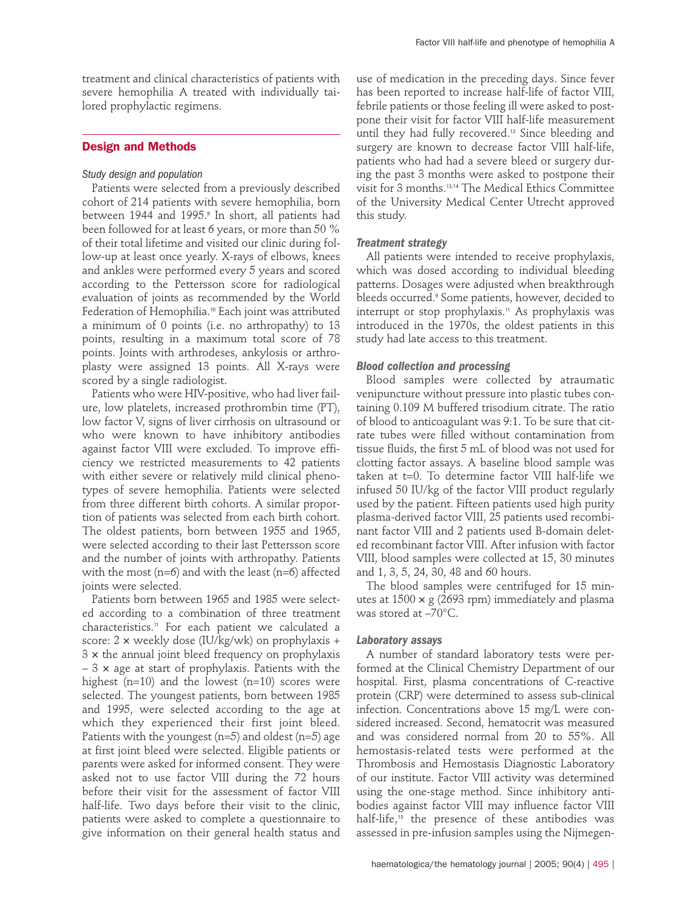treatment and clinical characteristics of patients with severe hemophilia A treated with individually tailored prophylactic regimens.

## **Design and Methods**

### *Study design and population*

Patients were selected from a previously described cohort of 214 patients with severe hemophilia, born between 1944 and 1995.<sup>9</sup> In short, all patients had been followed for at least 6 years, or more than 50 % of their total lifetime and visited our clinic during follow-up at least once yearly. X-rays of elbows, knees and ankles were performed every 5 years and scored according to the Pettersson score for radiological evaluation of joints as recommended by the World Federation of Hemophilia.<sup>10</sup> Each joint was attributed a minimum of 0 points (i.e. no arthropathy) to 13 points, resulting in a maximum total score of 78 points. Joints with arthrodeses, ankylosis or arthroplasty were assigned 13 points. All X-rays were scored by a single radiologist.

Patients who were HIV-positive, who had liver failure, low platelets, increased prothrombin time (PT), low factor V, signs of liver cirrhosis on ultrasound or who were known to have inhibitory antibodies against factor VIII were excluded. To improve efficiency we restricted measurements to 42 patients with either severe or relatively mild clinical phenotypes of severe hemophilia. Patients were selected from three different birth cohorts. A similar proportion of patients was selected from each birth cohort. The oldest patients, born between 1955 and 1965, were selected according to their last Pettersson score and the number of joints with arthropathy. Patients with the most ( $n=6$ ) and with the least ( $n=6$ ) affected joints were selected.

Patients born between 1965 and 1985 were selected according to a combination of three treatment characteristics.<sup>11</sup> For each patient we calculated a score:  $2 \times$  weekly dose (IU/kg/wk) on prophylaxis + 3 × the annual joint bleed frequency on prophylaxis  $-3 \times$  age at start of prophylaxis. Patients with the highest  $(n=10)$  and the lowest  $(n=10)$  scores were selected. The youngest patients, born between 1985 and 1995, were selected according to the age at which they experienced their first joint bleed. Patients with the youngest (n=5) and oldest (n=5) age at first joint bleed were selected. Eligible patients or parents were asked for informed consent. They were asked not to use factor VIII during the 72 hours before their visit for the assessment of factor VIII half-life. Two days before their visit to the clinic, patients were asked to complete a questionnaire to give information on their general health status and

use of medication in the preceding days. Since fever has been reported to increase half-life of factor VIII, febrile patients or those feeling ill were asked to postpone their visit for factor VIII half-life measurement until they had fully recovered.<sup>12</sup> Since bleeding and surgery are known to decrease factor VIII half-life, patients who had had a severe bleed or surgery during the past 3 months were asked to postpone their visit for 3 months.13,14 The Medical Ethics Committee of the University Medical Center Utrecht approved this study.

#### *Treatment strategy*

All patients were intended to receive prophylaxis, which was dosed according to individual bleeding patterns. Dosages were adjusted when breakthrough bleeds occurred.<sup>9</sup> Some patients, however, decided to interrupt or stop prophylaxis.<sup>11</sup> As prophylaxis was introduced in the 1970s, the oldest patients in this study had late access to this treatment.

#### *Blood collection and processing*

Blood samples were collected by atraumatic venipuncture without pressure into plastic tubes containing 0.109 M buffered trisodium citrate. The ratio of blood to anticoagulant was 9:1. To be sure that citrate tubes were filled without contamination from tissue fluids, the first 5 mL of blood was not used for clotting factor assays. A baseline blood sample was taken at t=0. To determine factor VIII half-life we infused 50 IU/kg of the factor VIII product regularly used by the patient. Fifteen patients used high purity plasma-derived factor VIII, 25 patients used recombinant factor VIII and 2 patients used B-domain deleted recombinant factor VIII. After infusion with factor VIII, blood samples were collected at 15, 30 minutes and 1, 3, 5, 24, 30, 48 and 60 hours.

The blood samples were centrifuged for 15 minutes at  $1500 \times g$  (2693 rpm) immediately and plasma was stored at –70°C.

#### *Laboratory assays*

A number of standard laboratory tests were performed at the Clinical Chemistry Department of our hospital. First, plasma concentrations of C-reactive protein (CRP) were determined to assess sub-clinical infection. Concentrations above 15 mg/L were considered increased. Second, hematocrit was measured and was considered normal from 20 to 55%. All hemostasis-related tests were performed at the Thrombosis and Hemostasis Diagnostic Laboratory of our institute. Factor VIII activity was determined using the one-stage method. Since inhibitory antibodies against factor VIII may influence factor VIII half-life,<sup>15</sup> the presence of these antibodies was assessed in pre-infusion samples using the Nijmegen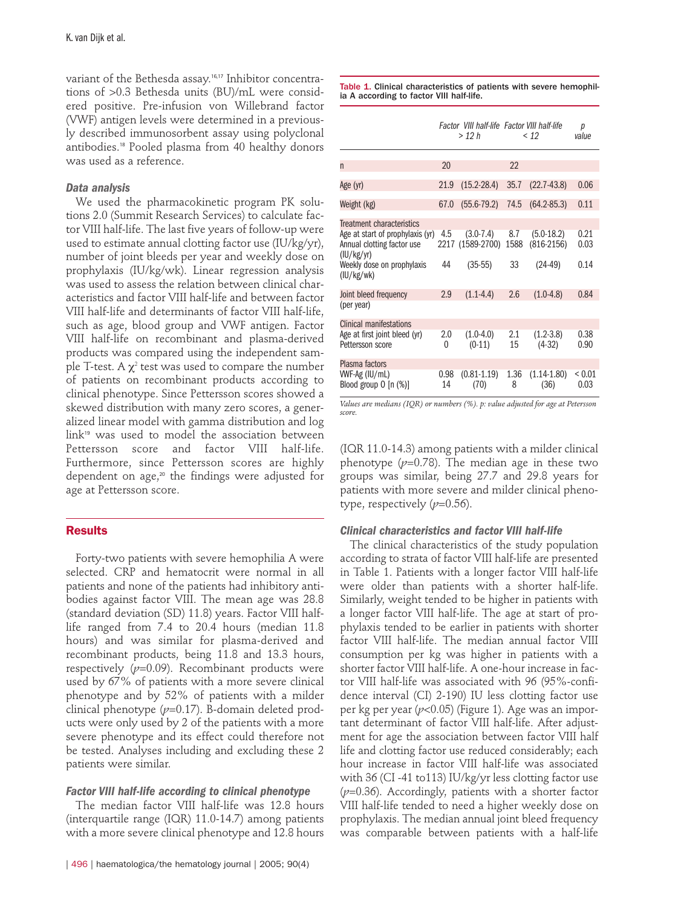variant of the Bethesda assay.16,17 Inhibitor concentrations of >0.3 Bethesda units (BU)/mL were considered positive. Pre-infusion von Willebrand factor (VWF) antigen levels were determined in a previously described immunosorbent assay using polyclonal antibodies.<sup>18</sup> Pooled plasma from 40 healthy donors was used as a reference.

# *Data analysis*

We used the pharmacokinetic program PK solutions 2.0 (Summit Research Services) to calculate factor VIII half-life. The last five years of follow-up were used to estimate annual clotting factor use (IU/kg/yr), number of joint bleeds per year and weekly dose on prophylaxis (IU/kg/wk). Linear regression analysis was used to assess the relation between clinical characteristics and factor VIII half-life and between factor VIII half-life and determinants of factor VIII half-life, such as age, blood group and VWF antigen. Factor VIII half-life on recombinant and plasma-derived products was compared using the independent sample T-test. A  $\chi^2$  test was used to compare the number of patients on recombinant products according to clinical phenotype. Since Pettersson scores showed a skewed distribution with many zero scores, a generalized linear model with gamma distribution and log link<sup>19</sup> was used to model the association between Pettersson score and factor VIII half-life. Furthermore, since Pettersson scores are highly dependent on age,<sup>20</sup> the findings were adjusted for age at Pettersson score.

# **Results**

Forty-two patients with severe hemophilia A were selected. CRP and hematocrit were normal in all patients and none of the patients had inhibitory antibodies against factor VIII. The mean age was 28.8 (standard deviation (SD) 11.8) years. Factor VIII halflife ranged from 7.4 to 20.4 hours (median 11.8 hours) and was similar for plasma-derived and recombinant products, being 11.8 and 13.3 hours, respectively  $(p=0.09)$ . Recombinant products were used by 67% of patients with a more severe clinical phenotype and by 52% of patients with a milder clinical phenotype (*p*=0.17). B-domain deleted products were only used by 2 of the patients with a more severe phenotype and its effect could therefore not be tested. Analyses including and excluding these 2 patients were similar.

### *Factor VIII half-life according to clinical phenotype*

The median factor VIII half-life was 12.8 hours (interquartile range (IQR) 11.0-14.7) among patients with a more severe clinical phenotype and 12.8 hours

Table 1. Clinical characteristics of patients with severe hemophilia A according to factor VIII half-life.

|                                                                                                                                                              |            | Factor VIII half-life Factor VIII half-life<br>> 12 h |                   | < 12                                      | р<br>value           |
|--------------------------------------------------------------------------------------------------------------------------------------------------------------|------------|-------------------------------------------------------|-------------------|-------------------------------------------|----------------------|
| n                                                                                                                                                            | 20         |                                                       | 22                |                                           |                      |
| Age (yr)                                                                                                                                                     | 21.9       | $(15.2 - 28.4)$                                       | 35.7              | $(22.7 - 43.8)$                           | 0.06                 |
| Weight (kg)                                                                                                                                                  | 67.0       | $(55.6 - 79.2)$                                       | 74.5              | $(64.2 - 85.3)$                           | 0.11                 |
| <b>Treatment characteristics</b><br>Age at start of prophylaxis (yr)<br>Annual clotting factor use<br>(IU/kg/yr)<br>Weekly dose on prophylaxis<br>(IU/kg/wk) | 4.5<br>44  | $(3.0 - 7.4)$<br>2217 (1589-2700)<br>$(35-55)$        | 8.7<br>1588<br>33 | $(5.0-18.2)$<br>$(816-2156)$<br>$(24-49)$ | 0.21<br>0.03<br>0.14 |
| Joint bleed frequency<br>(per year)                                                                                                                          | 2.9        | $(1.1 - 4.4)$                                         | 2.6               | $(1.0-4.8)$                               | 0.84                 |
| <b>Clinical manifestations</b><br>Age at first joint bleed (yr)<br>Pettersson score                                                                          | 2.0<br>0   | $(1.0-4.0)$<br>$(0-11)$                               | 2.1<br>15         | $(1.2 - 3.8)$<br>$(4-32)$                 | 0.38<br>0.90         |
| Plasma factors<br>VWF-Ag (IU/mL)<br>Blood group $0 \text{ [n (\%)]}$                                                                                         | 0.98<br>14 | $(0.81 - 1.19)$<br>(70)                               | 1.36<br>8         | $(1.14 - 1.80)$<br>(36)                   | ${}_{0.01}$<br>0.03  |

*Values are medians (IQR) or numbers (%). p: value adjusted for age at Petersson score.*

(IQR 11.0-14.3) among patients with a milder clinical phenotype  $(p=0.78)$ . The median age in these two groups was similar, being 27.7 and 29.8 years for patients with more severe and milder clinical phenotype, respectively  $(p=0.56)$ .

# *Clinical characteristics and factor VIII half-life*

The clinical characteristics of the study population according to strata of factor VIII half-life are presented in Table 1. Patients with a longer factor VIII half-life were older than patients with a shorter half-life. Similarly, weight tended to be higher in patients with a longer factor VIII half-life. The age at start of prophylaxis tended to be earlier in patients with shorter factor VIII half-life. The median annual factor VIII consumption per kg was higher in patients with a shorter factor VIII half-life. A one-hour increase in factor VIII half-life was associated with 96 (95%-confidence interval (CI) 2-190) IU less clotting factor use per kg per year (*p*<0.05) (Figure 1). Age was an important determinant of factor VIII half-life. After adjustment for age the association between factor VIII half life and clotting factor use reduced considerably; each hour increase in factor VIII half-life was associated with 36 (CI -41 to113) IU/kg/yr less clotting factor use (*p*=0.36). Accordingly, patients with a shorter factor VIII half-life tended to need a higher weekly dose on prophylaxis. The median annual joint bleed frequency was comparable between patients with a half-life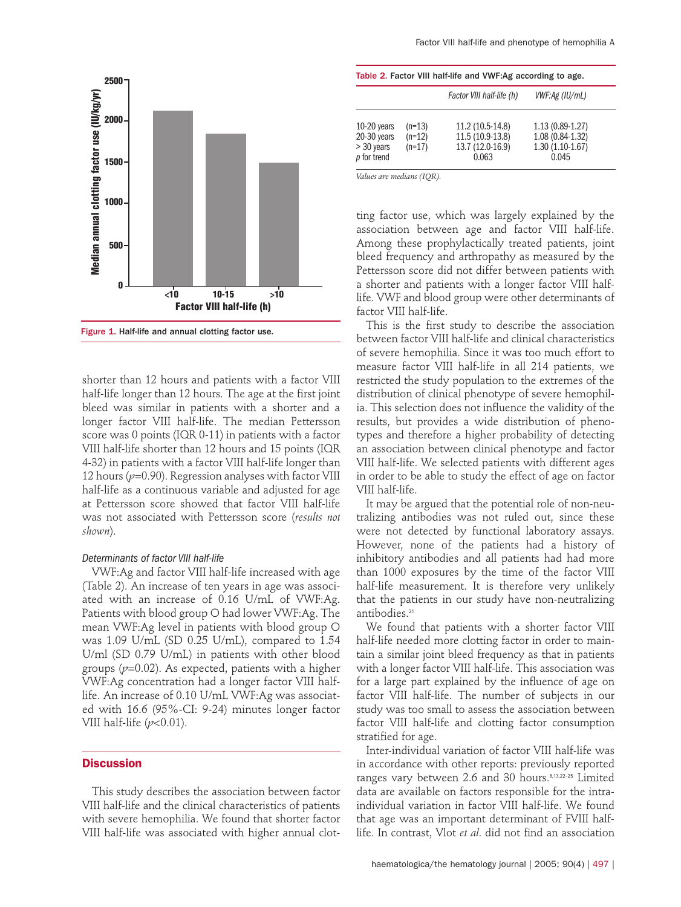

Figure 1. Half-life and annual clotting factor use.

shorter than 12 hours and patients with a factor VIII half-life longer than 12 hours. The age at the first joint bleed was similar in patients with a shorter and a longer factor VIII half-life. The median Pettersson score was 0 points (IQR 0-11) in patients with a factor VIII half-life shorter than 12 hours and 15 points (IQR 4-32) in patients with a factor VIII half-life longer than 12 hours ( $p=0.90$ ). Regression analyses with factor VIII half-life as a continuous variable and adjusted for age at Pettersson score showed that factor VIII half-life was not associated with Pettersson score (*results not shown*).

#### *Determinants of factor VIII half-life*

VWF:Ag and factor VIII half-life increased with age (Table 2). An increase of ten years in age was associated with an increase of 0.16 U/mL of VWF:Ag. Patients with blood group O had lower VWF:Ag. The mean VWF:Ag level in patients with blood group O was 1.09 U/mL (SD 0.25 U/mL), compared to 1.54 U/ml (SD 0.79 U/mL) in patients with other blood groups (*p*=0.02). As expected, patients with a higher VWF:Ag concentration had a longer factor VIII halflife. An increase of 0.10 U/mL VWF:Ag was associated with 16.6 (95%-CI: 9-24) minutes longer factor VIII half-life (*p*<0.01).

# **Discussion**

This study describes the association between factor VIII half-life and the clinical characteristics of patients with severe hemophilia. We found that shorter factor VIII half-life was associated with higher annual clot-

| Table 2. Factor VIII half-life and VWF:Ag according to age.     |                                  |                                                                   |                                                                     |  |  |  |
|-----------------------------------------------------------------|----------------------------------|-------------------------------------------------------------------|---------------------------------------------------------------------|--|--|--|
|                                                                 |                                  | Factor VIII half-life (h)                                         | VWF:Ag (IU/mL)                                                      |  |  |  |
| $10-20$ years<br>$20-30$ years<br>$>$ 30 years<br>$p$ for trend | $(n=13)$<br>$(n=12)$<br>$(n=17)$ | 11.2 (10.5-14.8)<br>11.5 (10.9-13.8)<br>13.7 (12.0-16.9)<br>0.063 | $1.13(0.89-1.27)$<br>1.08 (0.84-1.32)<br>$1.30(1.10-1.67)$<br>0.045 |  |  |  |

*Values are medians (IQR).*

ting factor use, which was largely explained by the association between age and factor VIII half-life. Among these prophylactically treated patients, joint bleed frequency and arthropathy as measured by the Pettersson score did not differ between patients with a shorter and patients with a longer factor VIII halflife. VWF and blood group were other determinants of factor VIII half-life.

This is the first study to describe the association between factor VIII half-life and clinical characteristics of severe hemophilia. Since it was too much effort to measure factor VIII half-life in all 214 patients, we restricted the study population to the extremes of the distribution of clinical phenotype of severe hemophilia. This selection does not influence the validity of the results, but provides a wide distribution of phenotypes and therefore a higher probability of detecting an association between clinical phenotype and factor VIII half-life. We selected patients with different ages in order to be able to study the effect of age on factor VIII half-life.

It may be argued that the potential role of non-neutralizing antibodies was not ruled out, since these were not detected by functional laboratory assays. However, none of the patients had a history of inhibitory antibodies and all patients had had more than 1000 exposures by the time of the factor VIII half-life measurement. It is therefore very unlikely that the patients in our study have non-neutralizing antibodies.<sup>21</sup>

We found that patients with a shorter factor VIII half-life needed more clotting factor in order to maintain a similar joint bleed frequency as that in patients with a longer factor VIII half-life. This association was for a large part explained by the influence of age on factor VIII half-life. The number of subjects in our study was too small to assess the association between factor VIII half-life and clotting factor consumption stratified for age.

Inter-individual variation of factor VIII half-life was in accordance with other reports: previously reported ranges vary between 2.6 and 30 hours.8,13,22-25 Limited data are available on factors responsible for the intraindividual variation in factor VIII half-life. We found that age was an important determinant of FVIII halflife. In contrast, Vlot *et al*. did not find an association